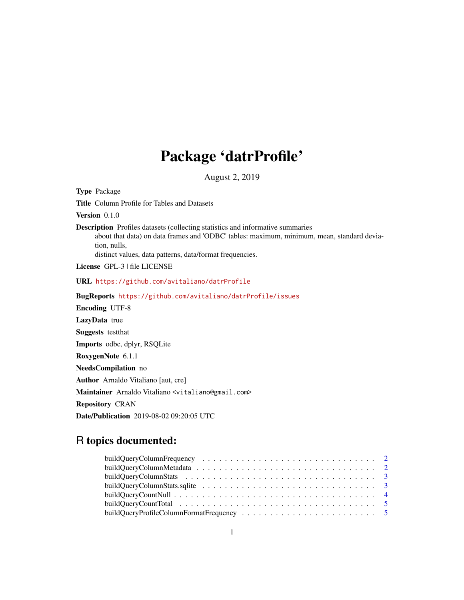## Package 'datrProfile'

August 2, 2019

<span id="page-0-0"></span>Type Package Title Column Profile for Tables and Datasets Version 0.1.0 Description Profiles datasets (collecting statistics and informative summaries about that data) on data frames and 'ODBC' tables: maximum, minimum, mean, standard deviation, nulls, distinct values, data patterns, data/format frequencies. License GPL-3 | file LICENSE URL <https://github.com/avitaliano/datrProfile> BugReports <https://github.com/avitaliano/datrProfile/issues> Encoding UTF-8 LazyData true Suggests testthat Imports odbc, dplyr, RSQLite RoxygenNote 6.1.1 NeedsCompilation no Author Arnaldo Vitaliano [aut, cre] Maintainer Arnaldo Vitaliano <vitaliano@gmail.com> Repository CRAN Date/Publication 2019-08-02 09:20:05 UTC

### R topics documented: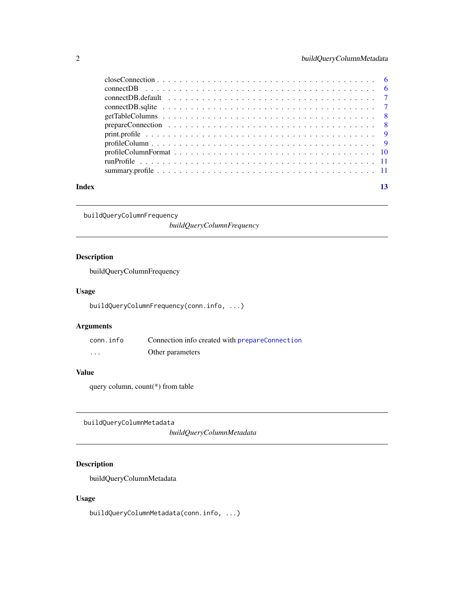<span id="page-1-0"></span>

| Index |  |
|-------|--|

buildQueryColumnFrequency

*buildQueryColumnFrequency*

#### Description

buildQueryColumnFrequency

#### Usage

buildQueryColumnFrequency(conn.info, ...)

#### Arguments

| conn.info | Connection info created with prepareConnection |
|-----------|------------------------------------------------|
| $\cdots$  | Other parameters                               |

#### Value

query column, count(\*) from table

buildQueryColumnMetadata

*buildQueryColumnMetadata*

#### Description

buildQueryColumnMetadata

#### Usage

buildQueryColumnMetadata(conn.info, ...)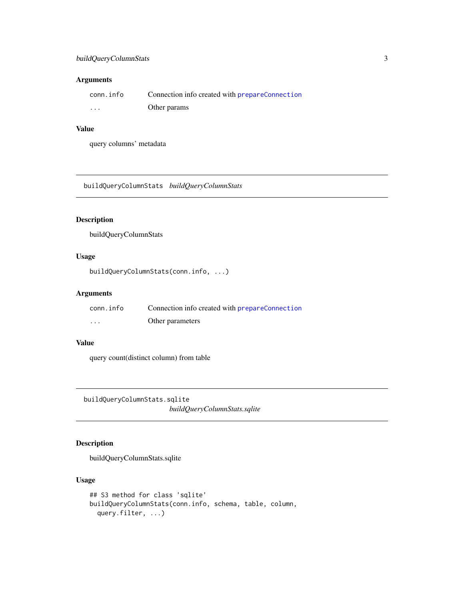#### <span id="page-2-0"></span>buildQueryColumnStats 3

#### Arguments

| conn.info | Connection info created with prepareConnection |
|-----------|------------------------------------------------|
| $\cdots$  | Other params                                   |

#### Value

query columns' metadata

buildQueryColumnStats *buildQueryColumnStats*

#### Description

buildQueryColumnStats

#### Usage

```
buildQueryColumnStats(conn.info, ...)
```
#### Arguments

| conn.info | Connection info created with <b>prepareConnection</b> |
|-----------|-------------------------------------------------------|
| $\cdot$   | Other parameters                                      |

#### Value

query count(distinct column) from table

buildQueryColumnStats.sqlite *buildQueryColumnStats.sqlite*

#### Description

buildQueryColumnStats.sqlite

#### Usage

```
## S3 method for class 'sqlite'
buildQueryColumnStats(conn.info, schema, table, column,
 query.filter, ...)
```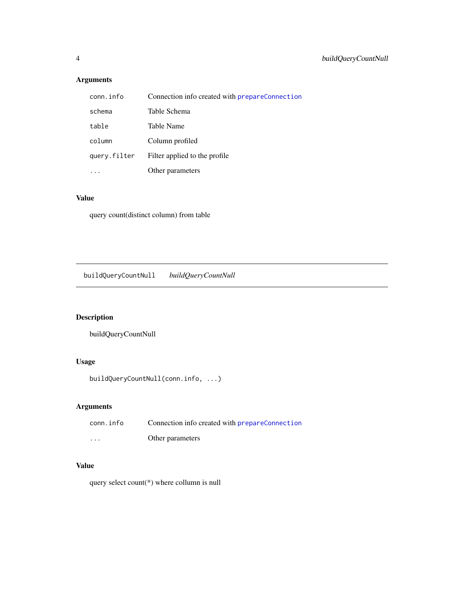#### <span id="page-3-0"></span>Arguments

| conn.info    | Connection info created with <b>prepareConnection</b> |
|--------------|-------------------------------------------------------|
| schema       | Table Schema                                          |
| table        | Table Name                                            |
| column       | Column profiled                                       |
| query.filter | Filter applied to the profile                         |
|              | Other parameters                                      |

#### Value

query count(distinct column) from table

buildQueryCountNull *buildQueryCountNull*

#### Description

buildQueryCountNull

#### Usage

```
buildQueryCountNull(conn.info, ...)
```
#### Arguments

| conn.info | Connection info created with <b>prepareConnection</b> |
|-----------|-------------------------------------------------------|
| $\cdots$  | Other parameters                                      |

#### Value

query select count(\*) where collumn is null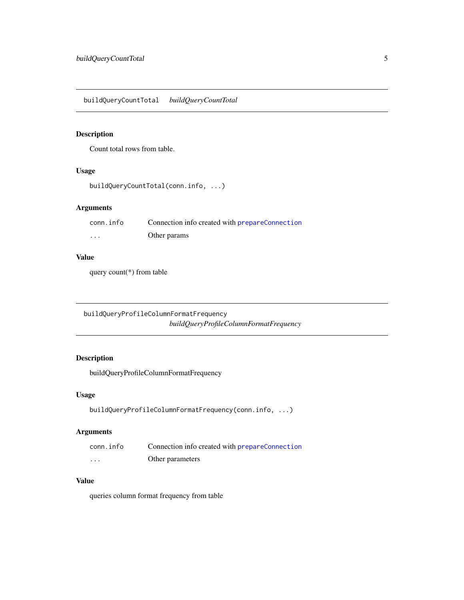<span id="page-4-0"></span>buildQueryCountTotal *buildQueryCountTotal*

#### Description

Count total rows from table.

#### Usage

```
buildQueryCountTotal(conn.info, ...)
```
#### Arguments

| conn.info | Connection info created with <b>prepareConnection</b> |
|-----------|-------------------------------------------------------|
| .         | Other params                                          |

#### Value

query count(\*) from table

buildQueryProfileColumnFormatFrequency *buildQueryProfileColumnFormatFrequency*

#### Description

buildQueryProfileColumnFormatFrequency

#### Usage

```
buildQueryProfileColumnFormatFrequency(conn.info, ...)
```
#### Arguments

| conn.info | Connection info created with prepareConnection |
|-----------|------------------------------------------------|
| $\cdots$  | Other parameters                               |

#### Value

queries column format frequency from table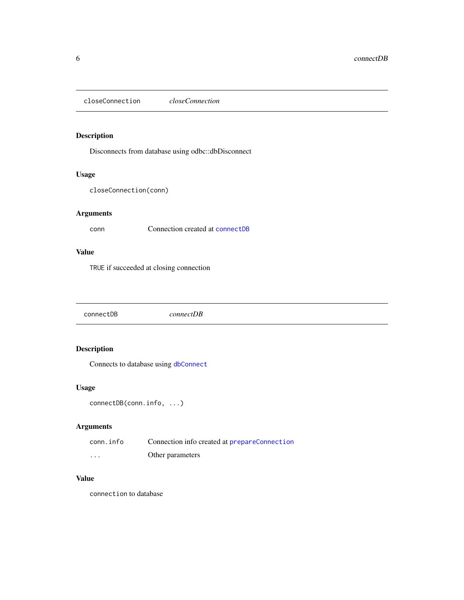<span id="page-5-0"></span>closeConnection *closeConnection*

#### Description

Disconnects from database using odbc::dbDisconnect

#### Usage

closeConnection(conn)

#### Arguments

conn Connection created at [connectDB](#page-5-1)

#### Value

TRUE if succeeded at closing connection

<span id="page-5-1"></span>connectDB *connectDB*

#### Description

Connects to database using [dbConnect](#page-0-0)

#### Usage

```
connectDB(conn.info, ...)
```
#### Arguments

| conn.info | Connection info created at prepareConnection |
|-----------|----------------------------------------------|
| $\cdots$  | Other parameters                             |

#### Value

connection to database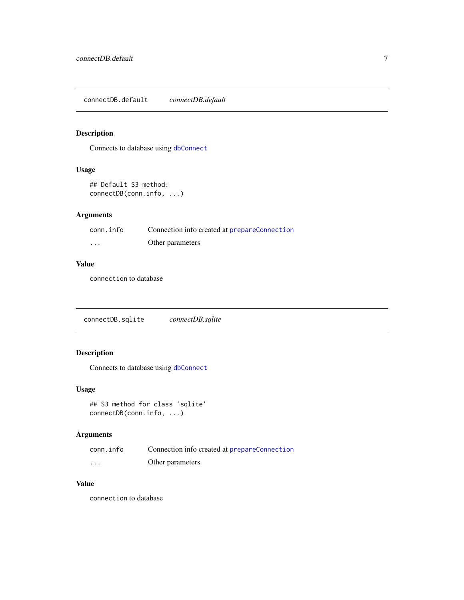<span id="page-6-0"></span>connectDB.default *connectDB.default*

#### Description

Connects to database using [dbConnect](#page-0-0)

#### Usage

```
## Default S3 method:
connectDB(conn.info, ...)
```
#### Arguments

| conn.info | Connection info created at prepareConnection |
|-----------|----------------------------------------------|
| $\cdots$  | Other parameters                             |

#### Value

connection to database

connectDB.sqlite *connectDB.sqlite*

#### Description

Connects to database using [dbConnect](#page-0-0)

#### Usage

## S3 method for class 'sqlite' connectDB(conn.info, ...)

#### Arguments

| conn.info | Connection info created at prepareConnection |
|-----------|----------------------------------------------|
| $\cdots$  | Other parameters                             |

#### Value

connection to database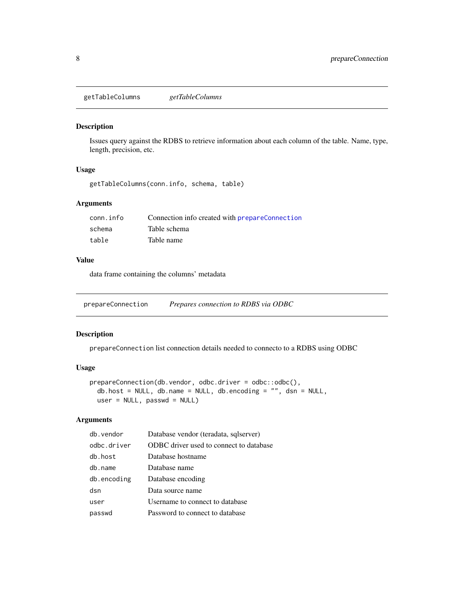<span id="page-7-0"></span>getTableColumns *getTableColumns*

#### Description

Issues query against the RDBS to retrieve information about each column of the table. Name, type, length, precision, etc.

#### Usage

```
getTableColumns(conn.info, schema, table)
```
#### Arguments

| conn.info | Connection info created with prepareConnection |
|-----------|------------------------------------------------|
| schema    | Table schema                                   |
| table     | Table name                                     |

#### Value

data frame containing the columns' metadata

<span id="page-7-1"></span>prepareConnection *Prepares connection to RDBS via ODBC*

#### Description

prepareConnection list connection details needed to connecto to a RDBS using ODBC

#### Usage

```
prepareConnection(db.vendor, odbc.driver = odbc::odbc(),
  db.host = NULL, db.name = NULL, db.encoding = "", dsn = NULL,
 user = NULL, passwd = NULL)
```
#### Arguments

| db.vendor   | Database vendor (teradata, sqlserver)   |
|-------------|-----------------------------------------|
| odbc.driver | ODBC driver used to connect to database |
| db.host     | Database hostname                       |
| db.name     | Database name                           |
| db.encoding | Database encoding                       |
| dsn         | Data source name                        |
| user        | Username to connect to database         |
| passwd      | Password to connect to database         |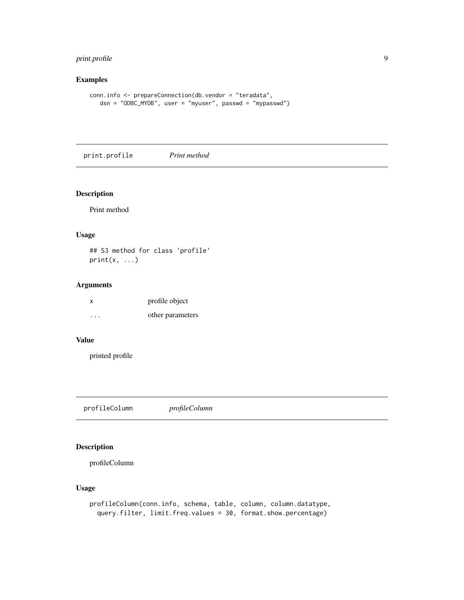#### <span id="page-8-0"></span>print.profile 9

#### Examples

```
conn.info <- prepareConnection(db.vendor = "teradata",
  dsn = "ODBC_MYDB", user = "myuser", passwd = "mypasswd")
```
print.profile *Print method*

#### Description

Print method

#### Usage

## S3 method for class 'profile'  $print(x, \ldots)$ 

#### Arguments

| X        | profile object   |
|----------|------------------|
| $\cdots$ | other parameters |

#### Value

printed profile

profileColumn *profileColumn*

#### Description

profileColumn

#### Usage

```
profileColumn(conn.info, schema, table, column, column.datatype,
  query.filter, limit.freq.values = 30, format.show.percentage)
```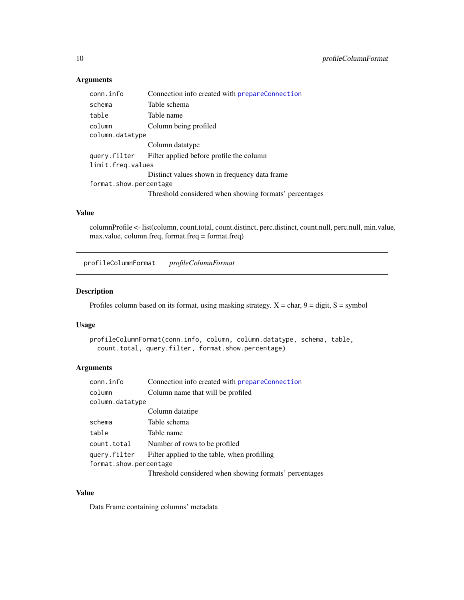#### Arguments

| conn.info              | Connection info created with prepareConnection         |
|------------------------|--------------------------------------------------------|
| schema                 | Table schema                                           |
| table                  | Table name                                             |
| column                 | Column being profiled                                  |
| column.datatype        |                                                        |
|                        | Column datatype                                        |
| query.filter           | Filter applied before profile the column               |
| limit.freg.values      |                                                        |
|                        | Distinct values shown in frequency data frame.         |
| format.show.percentage |                                                        |
|                        | Threshold considered when showing formats' percentages |

#### Value

columnProfile <- list(column, count.total, count.distinct, perc.distinct, count.null, perc.null, min.value, max.value, column.freq, format.freq = format.freq)

profileColumnFormat *profileColumnFormat*

#### Description

Profiles column based on its format, using masking strategy.  $X = char$ ,  $9 = digit$ ,  $S = symbol$ 

#### Usage

```
profileColumnFormat(conn.info, column, column.datatype, schema, table,
  count.total, query.filter, format.show.percentage)
```
#### Arguments

| Connection info created with <b>prepareConnection</b>  |  |
|--------------------------------------------------------|--|
| Column name that will be profiled                      |  |
| column.datatype                                        |  |
| Column datatipe                                        |  |
| Table schema                                           |  |
| Table name                                             |  |
| Number of rows to be profiled                          |  |
| Filter applied to the table, when profilling           |  |
| format.show.percentage                                 |  |
| Threshold considered when showing formats' percentages |  |
|                                                        |  |

#### Value

Data Frame containing columns' metadata

<span id="page-9-0"></span>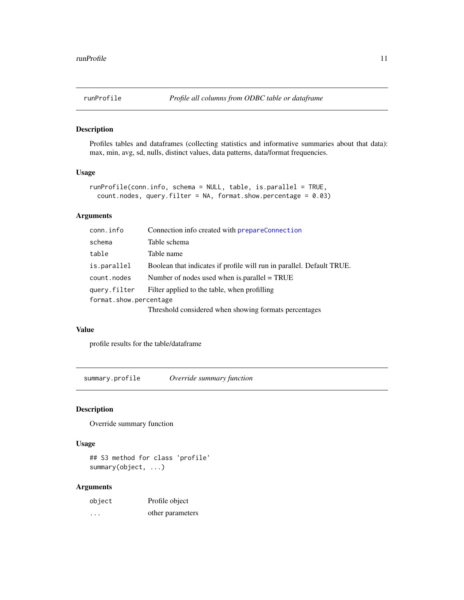<span id="page-10-0"></span>

#### Description

Profiles tables and dataframes (collecting statistics and informative summaries about that data): max, min, avg, sd, nulls, distinct values, data patterns, data/format frequencies.

#### Usage

```
runProfile(conn.info, schema = NULL, table, is.parallel = TRUE,
 count.nodes, query.filter = NA, format.show.percentage = 0.03)
```
#### Arguments

| conn.info              | Connection info created with prepareConnection                        |  |
|------------------------|-----------------------------------------------------------------------|--|
| schema                 | Table schema                                                          |  |
| table                  | Table name                                                            |  |
| is.parallel            | Boolean that indicates if profile will run in parallel. Default TRUE. |  |
| count.nodes            | Number of nodes used when is parallel $= TRUE$                        |  |
| query.filter           | Filter applied to the table, when profilling                          |  |
| format.show.percentage |                                                                       |  |
|                        | Threshold considered when showing formats percentages                 |  |

#### Value

profile results for the table/dataframe

summary.profile *Override summary function*

#### Description

Override summary function

#### Usage

## S3 method for class 'profile' summary(object, ...)

#### Arguments

| object | Profile object   |
|--------|------------------|
| .      | other parameters |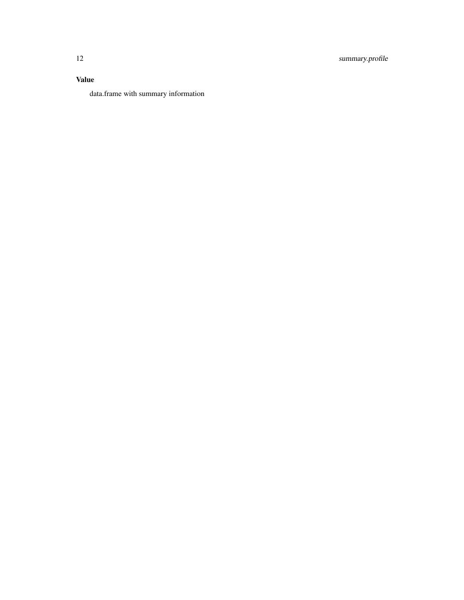#### Value

data.frame with summary information